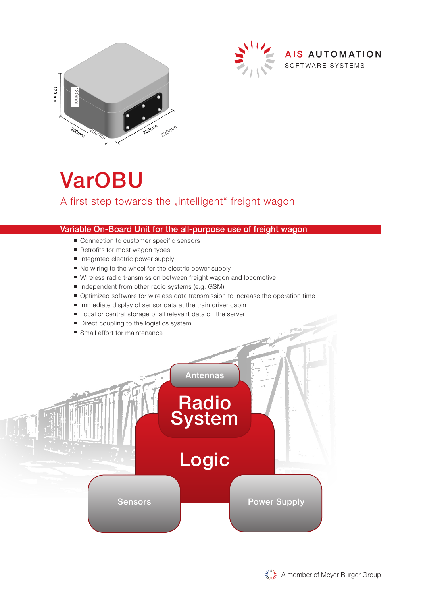



# VarOBU

#### Variable On-Board Unit for the all-purpose use of freight wagon

- Connection to customer specific sensors
- Retrofits for most wagon types
- Integrated electric power supply
- No wiring to the wheel for the electric power supply
- Wireless radio transmission between freight wagon and locomotive
- Independent from other radio systems (e.g. GSM)
- Optimized software for wireless data transmission to increase the operation time
- Immediate display of sensor data at the train driver cabin
- Local or central storage of all relevant data on the server
- Direct coupling to the logistics system
- Small effort for maintenance